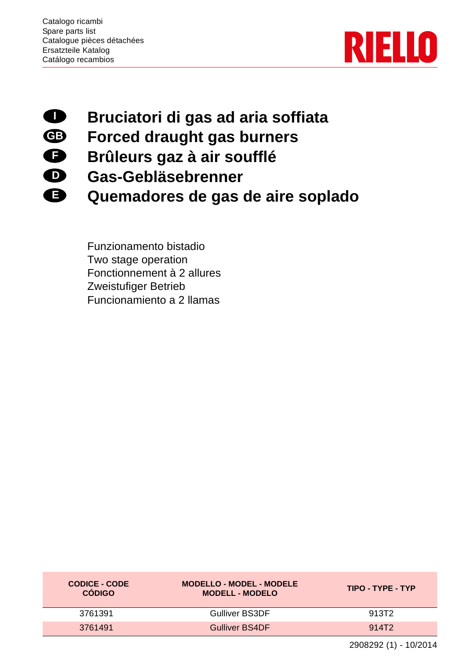**E**



## **Bruciatori di gas ad aria soffiata I**

- **Forced draught gas burners GB F**
	- **Brûleurs gaz à air soufflé**
- **Gas-Gebläsebrenner D**
	- **Quemadores de gas de aire soplado**

Funzionamento bistadio Two stage operation Fonctionnement à 2 allures Zweistufiger Betrieb Funcionamiento a 2 llamas

| <b>CODICE - CODE</b><br><b>CÓDIGO</b> | <b>MODELLO - MODEL - MODELE</b><br><b>MODELL - MODELO</b> | TIPO - TYPE - TYP |  |  |
|---------------------------------------|-----------------------------------------------------------|-------------------|--|--|
| 3761391                               | <b>Gulliver BS3DF</b>                                     | 913T2             |  |  |
| 3761491                               | <b>Gulliver BS4DF</b>                                     | 914T2             |  |  |

2908292 (1) - 10/2014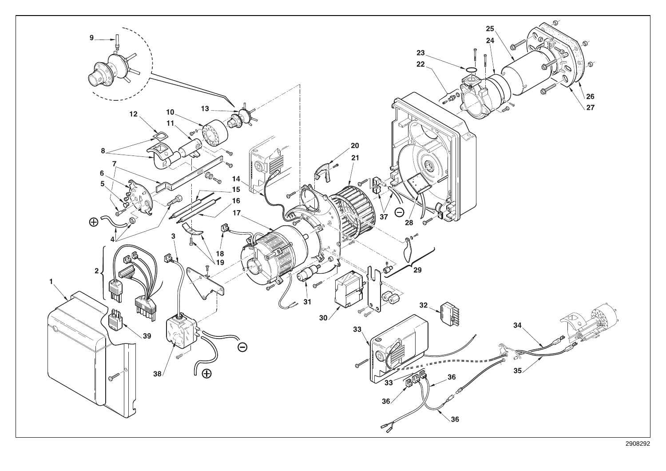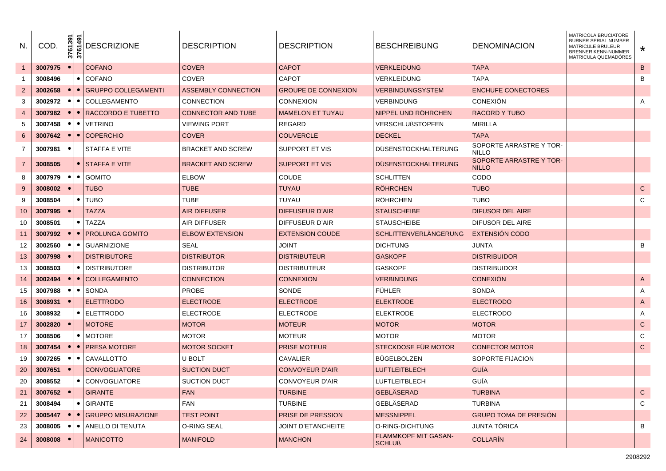| N.             | COD.    | 3761391<br>3761491 | <b>DESCRIZIONE</b>        | <b>DESCRIPTION</b>        | <b>DESCRIPTION</b>        | <b>BESCHREIBUNG</b>                   | <b>DENOMINACION</b>                     | MATRICOLA BRUCIATORE<br>BURNER SERIAL NUMBER<br><b>MATRICULE BRULEUR</b><br>BRENNER KENN-NUMMER<br>MATRICULA QUEMADÓRES | $\star$        |
|----------------|---------|--------------------|---------------------------|---------------------------|---------------------------|---------------------------------------|-----------------------------------------|-------------------------------------------------------------------------------------------------------------------------|----------------|
|                | 3007975 | $\bullet$          | <b>COFANO</b>             | <b>COVER</b>              | <b>CAPOT</b>              | VERKLEIDUNG                           | <b>TAPA</b>                             |                                                                                                                         | $\, {\sf B}$   |
|                | 3008496 | $\bullet$          | <b>COFANO</b>             | COVER                     | <b>CAPOT</b>              | <b>VERKLEIDUNG</b>                    | <b>TAPA</b>                             |                                                                                                                         | B              |
| $\overline{2}$ | 3002658 | $\bullet$          | • GRUPPO COLLEGAMENTI     | ASSEMBLY CONNECTION       | GROUPE DE CONNEXION       | VERBINDUNGSYSTEM                      | <b>ENCHUFE CONECTORES</b>               |                                                                                                                         |                |
| 3              | 3002972 | $\bullet$          | • COLLEGAMENTO            | CONNECTION                | CONNEXION                 | <b>VERBINDUNG</b>                     | <b>CONEXIÓN</b>                         |                                                                                                                         | A              |
| $\overline{4}$ | 3007982 | $\bullet$          | ● RACCORDO E TUBETTO      | <b>CONNECTOR AND TUBE</b> | <b>MAMELON ET TUYAU</b>   | NIPPEL UND ROHRCHEN                   | RACORD Y TUBO                           |                                                                                                                         |                |
| 5              | 3007458 | $\bullet$          | $\bullet$   VETRINO       | <b>VIEWING PORT</b>       | REGARD                    | <b>VERSCHLUßSTOPFEN</b>               | <b>MIRILLA</b>                          |                                                                                                                         |                |
| 6              | 3007642 | $\bullet$          | $\bullet$ COPERCHIO       | <b>COVER</b>              | <b>COUVERCLE</b>          | <b>DECKEL</b>                         | <b>TAPA</b>                             |                                                                                                                         |                |
| 7              | 3007981 | $\bullet$          | STAFFA E VITE             | <b>BRACKET AND SCREW</b>  | SUPPORT ET VIS            | DUSENSTOCKHALTERUNG                   | SOPORTE ARRASTRE Y TOR-<br><b>NILLO</b> |                                                                                                                         |                |
| $\overline{7}$ | 3008505 | $\bullet$          | <b>STAFFA E VITE</b>      | <b>BRACKET AND SCREW</b>  | <b>SUPPORT ET VIS</b>     | <b>DUSENSTOCKHALTERUNG</b>            | SOPORTE ARRASTRE Y TOR-<br><b>NILLO</b> |                                                                                                                         |                |
| 8              | 3007979 | $\bullet$          | $\bullet$ GOMITO          | <b>ELBOW</b>              | <b>COUDE</b>              | <b>SCHLITTEN</b>                      | CODO                                    |                                                                                                                         |                |
| 9              | 3008002 | $\bullet$          | <b>TUBO</b>               | <b>TUBE</b>               | <b>TUYAU</b>              | <b>RÖHRCHEN</b>                       | <b>TUBO</b>                             |                                                                                                                         | ${\bf C}$      |
| 9              | 3008504 |                    | $\bullet$ TUBO            | TUBE                      | TUYAU                     | <b>ROHRCHEN</b>                       | TUBO                                    |                                                                                                                         | C              |
| 10             | 3007995 | $\bullet$          | <b>TAZZA</b>              | <b>AIR DIFFUSER</b>       | DIFFUSEUR D'AIR           | <b>STAUSCHEIBE</b>                    | DIFUSOR DEL AIRE                        |                                                                                                                         |                |
| 10             | 3008501 |                    | • I TAZZA                 | AIR DIFFUSER              | DIFFUSEUR D'AIR           | <b>STAUSCHEIBE</b>                    | DIFUSOR DEL AIRE                        |                                                                                                                         |                |
| -11            | 3007992 |                    | •   •   PROLUNGA GOMITO   | <b>ELBOW EXTENSION</b>    | <b>EXTENSION COUDE</b>    | <b>SCHLITTENVERLÄNGERUNG</b>          | <b>EXTENSION CODO</b>                   |                                                                                                                         |                |
| 12             | 3002560 | $\bullet$          | • GUARNIZIONE             | <b>SEAL</b>               | JOINT                     | <b>DICHTUNG</b>                       | JUNTA                                   |                                                                                                                         | B              |
| 13             | 3007998 | $\bullet$          | <b>DISTRIBUTORE</b>       | <b>DISTRIBUTOR</b>        | <b>DISTRIBUTEUR</b>       | <b>GASKOPF</b>                        | <b>DISTRIBUIDOR</b>                     |                                                                                                                         |                |
| 13             | 3008503 |                    | • I DISTRIBUTORE          | <b>DISTRIBUTOR</b>        | <b>DISTRIBUTEUR</b>       | <b>GASKOPF</b>                        | <b>DISTRIBUIDOR</b>                     |                                                                                                                         |                |
| 14             | 3002494 | $\bullet$          | •   COLLEGAMENTO          | <b>CONNECTION</b>         | <b>CONNEXION</b>          | <b>VERBINDUNG</b>                     | <b>CONEXION</b>                         |                                                                                                                         | $\mathsf{A}$   |
| 15             | 3007988 |                    | $\bullet$ $\bullet$ Sonda | <b>PROBE</b>              | SONDE                     | <b>FÜHLER</b>                         | <b>SONDA</b>                            |                                                                                                                         | A              |
| 16             | 3008931 |                    | <b>ELETTRODO</b>          | <b>ELECTRODE</b>          | <b>ELECTRODE</b>          | <b>ELEKTRODE</b>                      | <b>ELECTRODO</b>                        |                                                                                                                         | $\overline{A}$ |
| 16             | 3008932 |                    | ● ELETTRODO               | <b>ELECTRODE</b>          | <b>ELECTRODE</b>          | <b>ELEKTRODE</b>                      | <b>ELECTRODO</b>                        |                                                                                                                         | A              |
| 17             | 3002820 | $\bullet$          | <b>MOTORE</b>             | <b>MOTOR</b>              | <b>MOTEUR</b>             | <b>MOTOR</b>                          | <b>MOTOR</b>                            |                                                                                                                         | ${\bf C}$      |
| 17             | 3008506 |                    | • I MOTORE                | <b>MOTOR</b>              | <b>MOTEUR</b>             | <b>MOTOR</b>                          | <b>MOTOR</b>                            |                                                                                                                         | C              |
| 18             | 3007454 | $\bullet$          | ● I PRESA MOTORE          | <b>MOTOR SOCKET</b>       | <b>PRISE MOTEUR</b>       | STECKDOSE FÜR MOTOR                   | <b>CONECTOR MOTOR</b>                   |                                                                                                                         | $\mathsf{C}$   |
| 19             | 3007265 | $\bullet$          | • CAVALLOTTO              | U BOLT                    | <b>CAVALIER</b>           | <b>BÜGELBOLZEN</b>                    | SOPORTE FIJACION                        |                                                                                                                         |                |
| 20             | 3007651 |                    | <b>CONVOGLIATORE</b>      | <b>SUCTION DUCT</b>       | CONVOYEUR D'AIR           | <b>LUFTLEITBLECH</b>                  | GUÍA                                    |                                                                                                                         |                |
| 20             | 3008552 |                    | • CONVOGLIATORE           | <b>SUCTION DUCT</b>       | <b>CONVOYEUR D'AIR</b>    | <b>LUFTLEITBLECH</b>                  | GUÍA                                    |                                                                                                                         |                |
| 21             | 3007652 | $\bullet$          | <b>GIRANTE</b>            | <b>FAN</b>                | <b>TURBINE</b>            | <b>GEBLÄSERAD</b>                     | <b>TURBINA</b>                          |                                                                                                                         | ${\bf C}$      |
| 21             | 3008494 |                    | • GIRANTE                 | <b>FAN</b>                | <b>TURBINE</b>            | GEBLÄSERAD                            | <b>TURBINA</b>                          |                                                                                                                         | C              |
| 22             | 3005447 | $\bullet$          | • GRUPPO MISURAZIONE      | <b>TEST POINT</b>         | PRISE DE PRESSION         | <b>MESSNIPPEL</b>                     | <b>GRUPO TOMA DE PRESIÓN</b>            |                                                                                                                         |                |
| 23             | 3008005 | $\bullet$          | · ANELLO DI TENUTA        | O-RING SEAL               | <b>JOINT D'ETANCHEITE</b> | O-RING-DICHTUNG                       | JUNTA TÓRICA                            |                                                                                                                         | B              |
| 24             | 3008008 |                    | <b>MANICOTTO</b>          | <b>MANIFOLD</b>           | <b>MANCHON</b>            | FLAMMKOPF MIT GASAN-<br><b>SCHLUß</b> | <b>COLLARÍN</b>                         |                                                                                                                         |                |